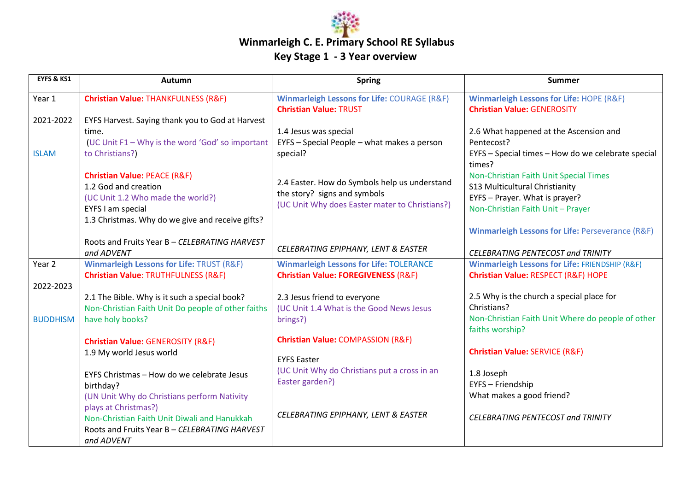

| <b>EYFS &amp; KS1</b> | Autumn                                               | <b>Spring</b>                                                                           | Summer                                                                                    |
|-----------------------|------------------------------------------------------|-----------------------------------------------------------------------------------------|-------------------------------------------------------------------------------------------|
| Year 1                | <b>Christian Value: THANKFULNESS (R&amp;F)</b>       | <b>Winmarleigh Lessons for Life: COURAGE (R&amp;F)</b><br><b>Christian Value: TRUST</b> | <b>Winmarleigh Lessons for Life: HOPE (R&amp;F)</b><br><b>Christian Value: GENEROSITY</b> |
| 2021-2022             | EYFS Harvest. Saying thank you to God at Harvest     |                                                                                         |                                                                                           |
|                       | time.                                                | 1.4 Jesus was special                                                                   | 2.6 What happened at the Ascension and                                                    |
|                       | (UC Unit F1 - Why is the word 'God' so important     | EYFS - Special People - what makes a person                                             | Pentecost?                                                                                |
| <b>ISLAM</b>          | to Christians?)                                      | special?                                                                                | EYFS - Special times - How do we celebrate special<br>times?                              |
|                       | <b>Christian Value: PEACE (R&amp;F)</b>              |                                                                                         | Non-Christian Faith Unit Special Times                                                    |
|                       | 1.2 God and creation                                 | 2.4 Easter. How do Symbols help us understand                                           | S13 Multicultural Christianity                                                            |
|                       | (UC Unit 1.2 Who made the world?)                    | the story? signs and symbols                                                            | EYFS - Prayer. What is prayer?                                                            |
|                       | EYFS I am special                                    | (UC Unit Why does Easter mater to Christians?)                                          | Non-Christian Faith Unit - Prayer                                                         |
|                       | 1.3 Christmas. Why do we give and receive gifts?     |                                                                                         |                                                                                           |
|                       |                                                      |                                                                                         | Winmarleigh Lessons for Life: Perseverance (R&F)                                          |
|                       | Roots and Fruits Year B - CELEBRATING HARVEST        |                                                                                         |                                                                                           |
|                       | and ADVENT                                           | CELEBRATING EPIPHANY, LENT & EASTER                                                     | <b>CELEBRATING PENTECOST and TRINITY</b>                                                  |
| Year 2                | <b>Winmarleigh Lessons for Life: TRUST (R&amp;F)</b> | <b>Winmarleigh Lessons for Life: TOLERANCE</b>                                          | <b>Winmarleigh Lessons for Life: FRIENDSHIP (R&amp;F)</b>                                 |
|                       | Christian Value: TRUTHFULNESS (R&F)                  | <b>Christian Value: FOREGIVENESS (R&amp;F)</b>                                          | Christian Value: RESPECT (R&F) HOPE                                                       |
| 2022-2023             |                                                      |                                                                                         |                                                                                           |
|                       | 2.1 The Bible. Why is it such a special book?        | 2.3 Jesus friend to everyone                                                            | 2.5 Why is the church a special place for                                                 |
|                       | Non-Christian Faith Unit Do people of other faiths   | (UC Unit 1.4 What is the Good News Jesus                                                | Christians?                                                                               |
| <b>BUDDHISM</b>       | have holy books?                                     | brings?)                                                                                | Non-Christian Faith Unit Where do people of other                                         |
|                       |                                                      |                                                                                         | faiths worship?                                                                           |
|                       | <b>Christian Value: GENEROSITY (R&amp;F)</b>         | <b>Christian Value: COMPASSION (R&amp;F)</b>                                            |                                                                                           |
|                       | 1.9 My world Jesus world                             | <b>EYFS Easter</b>                                                                      | <b>Christian Value: SERVICE (R&amp;F)</b>                                                 |
|                       |                                                      | (UC Unit Why do Christians put a cross in an                                            |                                                                                           |
|                       | EYFS Christmas - How do we celebrate Jesus           | Easter garden?)                                                                         | 1.8 Joseph                                                                                |
|                       | birthday?                                            |                                                                                         | EYFS - Friendship                                                                         |
|                       | (UN Unit Why do Christians perform Nativity          |                                                                                         | What makes a good friend?                                                                 |
|                       | plays at Christmas?)                                 | CELEBRATING EPIPHANY, LENT & EASTER                                                     |                                                                                           |
|                       | Non-Christian Faith Unit Diwali and Hanukkah         |                                                                                         | <b>CELEBRATING PENTECOST and TRINITY</b>                                                  |
|                       | Roots and Fruits Year B - CELEBRATING HARVEST        |                                                                                         |                                                                                           |
|                       | and ADVENT                                           |                                                                                         |                                                                                           |